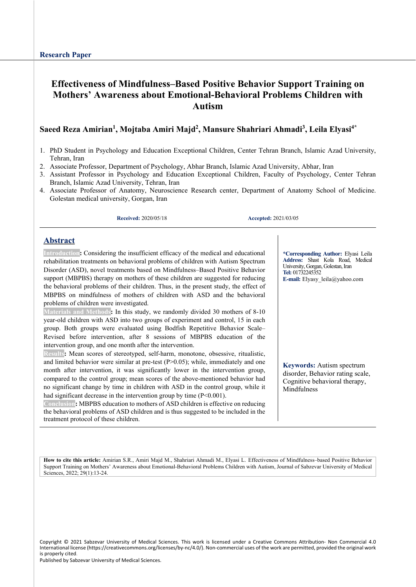# **Effectiveness of Mindfulness–Based Positive Behavior Support Training on Mothers' Awareness about Emotional-Behavioral Problems Children with Autism**

## **Saeed Reza Amirian1 , Mojtaba Amiri Majd2 , Mansure Shahriari Ahmadi3 , Leila Elyasi4\***

- 1. PhD Student in Psychology and Education Exceptional Children, Center Tehran Branch, Islamic Azad University, Tehran, Iran
- 2. Associate Professor, Department of Psychology, Abhar Branch, Islamic Azad University, Abhar, Iran
- 3. Assistant Professor in Psychology and Education Exceptional Children, Faculty of Psychology, Center Tehran Branch, Islamic Azad University, Tehran, Iran
- 4. Associate Professor of Anatomy, Neuroscience Research center, Department of Anatomy School of Medicine. Golestan medical university, Gorgan, Iran

**Received:** 2020/05/18 **Accepted:** 2021/03/05

### **Abstract**

**Introduction:** Considering the insufficient efficacy of the medical and educational rehabilitation treatments on behavioral problems of children with Autism Spectrum Disorder (ASD), novel treatments based on Mindfulness–Based Positive Behavior support (MBPBS) therapy on mothers of these children are suggested for reducing the behavioral problems of their children. Thus, in the present study, the effect of MBPBS on mindfulness of mothers of children with ASD and the behavioral problems of children were investigated.

**Materials and Methods:** In this study, we randomly divided 30 mothers of 8-10 year-old children with ASD into two groups of experiment and control, 15 in each group. Both groups were evaluated using Bodfish Repetitive Behavior Scale– Revised before intervention, after 8 sessions of MBPBS education of the intervention group, and one month after the intervention.

**Results:** Mean scores of stereotyped, self-harm, monotone, obsessive, ritualistic, and limited behavior were similar at pre-test (P>0.05); while, immediately and one month after intervention, it was significantly lower in the intervention group, compared to the control group; mean scores of the above-mentioned behavior had no significant change by time in children with ASD in the control group, while it had significant decrease in the intervention group by time  $(P<0.001)$ .

**Conclusion:** MBPBS education to mothers of ASD children is effective on reducing the behavioral problems of ASD children and is thus suggested to be included in the treatment protocol of these children.

**\*Corresponding Author:** Elyasi Leila **Address:** Shast Kola Road, Medical University, Gorgan, Golestan, Iran **Tel:** 01732245352 **E-mail:** [Elyasy\\_leila@yahoo.com](mailto:Elyasy_leila@yahoo.com)

**Keywords:** Autism spectrum disorder, Behavior rating scale, Cognitive behavioral therapy, Mindfulness

**How to cite this article:** Amirian S.R., Amiri Majd M., Shahriari Ahmadi M., Elyasi L. Effectiveness of Mindfulness–based Positive Behavior Support Training on Mothers' Awareness about Emotional-Behavioral Problems Children with Autism, Journal of Sabzevar University of Medical Sciences, 2022; 29(1):13-24.

Copyright © 2021 Sabzevar University of Medical Sciences. This work is licensed under a Creative Commons Attribution- Non Commercial 4.0 International license (https://creativecommons.org/licenses/by-nc/4.0/). Non-commercial uses of the work are permitted, provided the original work is properly cited.

Published by Sabzevar University of Medical Sciences.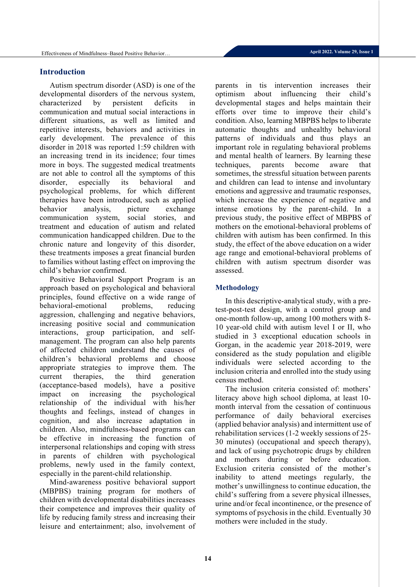# **Introduction**

Autism spectrum disorder (ASD) is one of the developmental disorders of the nervous system, characterized by persistent deficits in communication and mutual social interactions in different situations, as well as limited and repetitive interests, behaviors and activities in early development. The prevalence of this disorder in 2018 was reported 1:59 children with an increasing trend in its incidence; four times more in boys. The suggested medical treatments are not able to control all the symptoms of this disorder, especially its behavioral and psychological problems, for which different therapies have been introduced, such as applied behavior analysis, picture exchange communication system, social stories, and treatment and education of autism and related communication handicapped children. Due to the chronic nature and longevity of this disorder, these treatments imposes a great financial burden to families without lasting effect on improving the child's behavior confirmed.

Positive Behavioral Support Program is an approach based on psychological and behavioral principles, found effective on a wide range of behavioral-emotional problems, reducing aggression, challenging and negative behaviors, increasing positive social and communication interactions, group participation, and selfmanagement. The program can also help parents of affected children understand the causes of children's behavioral problems and choose appropriate strategies to improve them. The current therapies, the third generation (acceptance-based models), have a positive impact on increasing the psychological relationship of the individual with his/her thoughts and feelings, instead of changes in cognition, and also increase adaptation in children. Also, mindfulness-based programs can be effective in increasing the function of interpersonal relationships and coping with stress in parents of children with psychological problems, newly used in the family context, especially in the parent-child relationship.

Mind-awareness positive behavioral support (MBPBS) training program for mothers of children with developmental disabilities increases their competence and improves their quality of life by reducing family stress and increasing their leisure and entertainment; also, involvement of parents in tis intervention increases their optimism about influencing their child's developmental stages and helps maintain their efforts over time to improve their child's condition. Also, learning MBPBS helps to liberate automatic thoughts and unhealthy behavioral patterns of individuals and thus plays an important role in regulating behavioral problems and mental health of learners. By learning these techniques, parents become aware that sometimes, the stressful situation between parents and children can lead to intense and involuntary emotions and aggressive and traumatic responses, which increase the experience of negative and intense emotions by the parent-child. In a previous study, the positive effect of MBPBS of mothers on the emotional-behavioral problems of children with autism has been confirmed. In this study, the effect of the above education on a wider age range and emotional-behavioral problems of children with autism spectrum disorder was assessed.

## **Methodology**

In this descriptive-analytical study, with a pretest-post-test design, with a control group and one-month follow-up, among 100 mothers with 8- 10 year-old child with autism level I or II, who studied in 3 exceptional education schools in Gorgan, in the academic year 2018-2019, were considered as the study population and eligible individuals were selected according to the inclusion criteria and enrolled into the study using census method.

The inclusion criteria consisted of: mothers' literacy above high school diploma, at least 10 month interval from the cessation of continuous performance of daily behavioral exercises (applied behavior analysis) and intermittent use of rehabilitation services (1-2 weekly sessions of 25- 30 minutes) (occupational and speech therapy), and lack of using psychotropic drugs by children and mothers during or before education. Exclusion criteria consisted of the mother's inability to attend meetings regularly, the mother's unwillingness to continue education, the child's suffering from a severe physical illnesses, urine and/or fecal incontinence, or the presence of symptoms of psychosis in the child. Eventually 30 mothers were included in the study.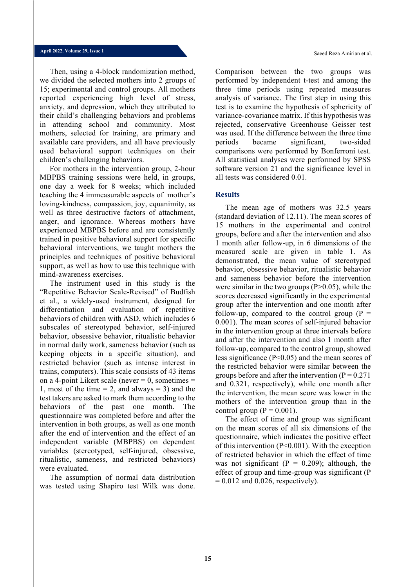Then, using a 4-block randomization method, we divided the selected mothers into 2 groups of 15; experimental and control groups. All mothers reported experiencing high level of stress, anxiety, and depression, which they attributed to their child's challenging behaviors and problems in attending school and community. Most mothers, selected for training, are primary and available care providers, and all have previously used behavioral support techniques on their children's challenging behaviors.

For mothers in the intervention group, 2-hour MBPBS training sessions were held, in groups, one day a week for 8 weeks; which included teaching the 4 immeasurable aspects of mother's loving-kindness, compassion, joy, equanimity, as well as three destructive factors of attachment, anger, and ignorance. Whereas mothers have experienced MBPBS before and are consistently trained in positive behavioral support for specific behavioral interventions, we taught mothers the principles and techniques of positive behavioral support, as well as how to use this technique with mind-awareness exercises.

The instrument used in this study is the "Repetitive Behavior Scale-Revised" of Budfish et al., a widely-used instrument, designed for differentiation and evaluation of repetitive behaviors of children with ASD, which includes 6 subscales of stereotyped behavior, self-injured behavior, obsessive behavior, ritualistic behavior in normal daily work, sameness behavior (such as keeping objects in a specific situation), and restricted behavior (such as intense interest in trains, computers). This scale consists of 43 items on a 4-point Likert scale (never  $= 0$ , sometimes  $=$ 1, most of the time  $= 2$ , and always  $= 3$ ) and the test takers are asked to mark them according to the behaviors of the past one month. The questionnaire was completed before and after the intervention in both groups, as well as one month after the end of intervention and the effect of an independent variable (MBPBS) on dependent variables (stereotyped, self-injured, obsessive, ritualistic, sameness, and restricted behaviors) were evaluated.

The assumption of normal data distribution was tested using Shapiro test Wilk was done. Comparison between the two groups was performed by independent t-test and among the three time periods using repeated measures analysis of variance. The first step in using this test is to examine the hypothesis of sphericity of variance-covariance matrix. If this hypothesis was rejected, conservative Greenhouse Geisser test was used. If the difference between the three time periods became significant, two-sided comparisons were performed by Bonferroni test. All statistical analyses were performed by SPSS software version 21 and the significance level in all tests was considered 0.01.

### **Results**

The mean age of mothers was 32.5 years (standard deviation of 12.11). The mean scores of 15 mothers in the experimental and control groups, before and after the intervention and also 1 month after follow-up, in 6 dimensions of the measured scale are given in table 1. As demonstrated, the mean value of stereotyped behavior, obsessive behavior, ritualistic behavior and sameness behavior before the intervention were similar in the two groups  $(P>0.05)$ , while the scores decreased significantly in the experimental group after the intervention and one month after follow-up, compared to the control group  $(P =$ 0.001). The mean scores of self-injured behavior in the intervention group at three intervals before and after the intervention and also 1 month after follow-up, compared to the control group, showed less significance (P<0.05) and the mean scores of the restricted behavior were similar between the groups before and after the intervention ( $P = 0.271$ and 0.321, respectively), while one month after the intervention, the mean score was lower in the mothers of the intervention group than in the control group ( $P = 0.001$ ).

The effect of time and group was significant on the mean scores of all six dimensions of the questionnaire, which indicates the positive effect of this intervention (P<0.001). With the exception of restricted behavior in which the effect of time was not significant ( $P = 0.209$ ); although, the effect of group and time-group was significant (P  $= 0.012$  and 0.026, respectively).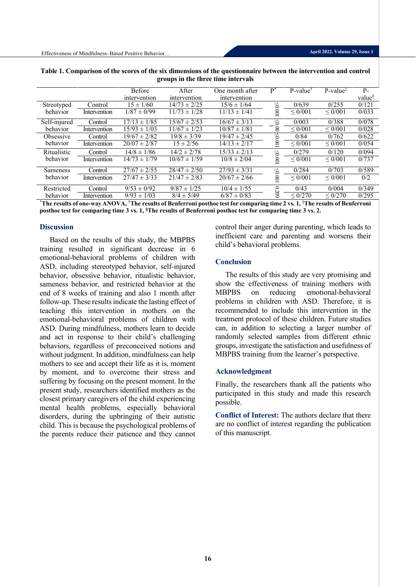| $\mathbf{S}$ . The set of the control model |              |                  |                  |                  |          |                     |                                            |                    |
|---------------------------------------------|--------------|------------------|------------------|------------------|----------|---------------------|--------------------------------------------|--------------------|
|                                             |              | <b>Before</b>    | <b>A</b> fter    | One month after  | $P^*$    | $P-value^{\dagger}$ | $P-value$ <sup><math>\ddagger</math></sup> | $P-$               |
|                                             |              | intervention     | intervention     | intervention     |          |                     |                                            | value <sup>§</sup> |
| Streotyped                                  | Control      | $15 \pm 1/60$    | $14/73 \pm 2/25$ | $15/6 \pm 1/64$  |          | 0/639               | 0/255                                      | 0/121              |
| behavior                                    | Intervention | $1/87 \pm 0/99$  | $11/73 \pm 1/28$ | $11/13 \pm 1/41$ | 1000     | ${}_{0/001}$        | ${}< 0/001$                                | 0/033              |
| Self-injured                                | Control      | $17/13 \pm 1/85$ | $15/67 \pm 2/53$ | $16/67 \pm 3/13$ |          | 0/003               | 0/388                                      | 0/078              |
| behavior                                    | Intervention | $15/93 \pm 1/03$ | $11/67 \pm 1/23$ | $10/87 \pm 1/81$ | $-50.00$ | ${}< 0/001$         | ${}< 0/001$                                | 0/028              |
| Obsessive                                   | Control      | $19/67 \pm 2/82$ | $19/8 \pm 3/39$  | $19/47 \pm 2/45$ | 1000     | 0/84                | 0/762                                      | 0/622              |
| behavior                                    | Intervention | $20/07 \pm 2/87$ | $15 \pm 2/56$    | $14/13 \pm 2/17$ |          | ${}_{0/001}$        | $\leq 0/001$                               | 0/054              |
| Ritualistic                                 | Control      | $14/8 \pm 1/86$  | $14/2 \pm 2/78$  | $15/33 \pm 2/13$ |          | 0/279               | 0/120                                      | 0/094              |
| behavior                                    | Intervention | $14/73 \pm 1/79$ | $10/67 \pm 1/59$ | $10/8 \pm 2/04$  | 1000     | ${}< 0/001$         | ${}< 0/001$                                | 0/737              |
| <b>Sameness</b>                             | Control      | $27/67 \pm 2/55$ | $28/47 \pm 2/50$ | $27/93 \pm 3/31$ |          | 0/284               | 0/703                                      | 0/589              |
| behavior                                    | Intervention | $27/47 \pm 3/33$ | $21/47 \pm 2/83$ | $20/67 \pm 2/66$ | 100.001  | ${}_{0/001}$        | ${}< 0/001$                                | 0/2                |
| Restricted                                  | Control      | $9/53 \pm 0/92$  | $9/87 \pm 1/25$  | $10/4 \pm 1/55$  | 6020     | 0/43                | 0/004                                      | 0/349              |
| behavior                                    | Intervention | $9/93 \pm 1/03$  | $8/4 \pm 5/49$   | $6/87 \pm 0/83$  |          | ${}< 0/270$         | $\leq 0/270$                               | 0/295              |

**Table 1. Comparison of the scores of the six dimensions of the questionnaire between the intervention and control groups in the three time intervals**

**\*The results of one-wayANOVA, †The results of Benferroni posthoc test for comparing time 2 vs. 1, ‡The results of Benferroni posthoc test for comparing time 3 vs. 1, §The results of Benferroni posthoc test for comparing time 3 vs. 2.**

#### **Discussion**

Based on the results of this study, the MBPBS training resulted in significant decrease in 6 emotional-behavioral problems of children with ASD, including stereotyped behavior, self-injured behavior, obsessive behavior, ritualistic behavior, sameness behavior, and restricted behavior at the end of 8 weeks of training and also 1 month after follow-up. These results indicate the lasting effect of teaching this intervention in mothers on the emotional-behavioral problems of children with ASD. During mindfulness, mothers learn to decide and act in response to their child's challenging behaviors, regardless of preconceived notions and without judgment. In addition, mindfulness can help mothers to see and accept their life as it is, moment by moment, and to overcome their stress and suffering by focusing on the present moment. In the present study, researchers identified mothers as the closest primary caregivers of the child experiencing mental health problems, especially behavioral disorders, during the upbringing of their autistic child. This is because the psychological problems of the parents reduce their patience and they cannot

control their anger during parenting, which leads to inefficient care and parenting and worsens their child's behavioral problems.

### **Conclusion**

The results of this study are very promising and show the effectiveness of training mothers with MBPBS on reducing emotional-behavioral problems in children with ASD. Therefore, it is recommended to include this intervention in the treatment protocol of these children. Future studies can, in addition to selecting a larger number of randomly selected samples from different ethnic groups, investigate the satisfaction and usefulness of MBPBS training from the learner's perspective.

### **Acknowledgment**

Finally, the researchers thank all the patients who participated in this study and made this research possible.

**Conflict of Interest:** The authors declare that there are no conflict of interest regarding the publication of this manuscript.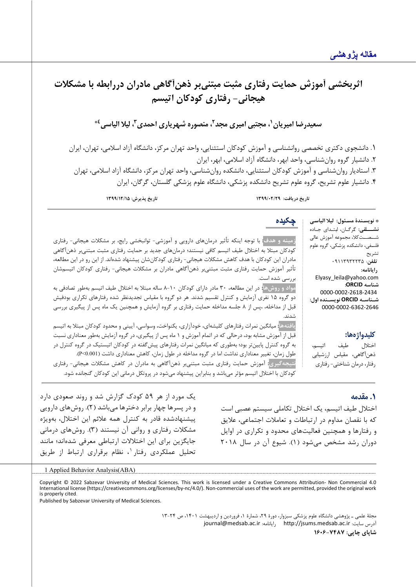

### **.1 مقدمه**

اختلال طیف اتیسم، یک اختلال تکاملی سیستم عصبی است که با نقصان مداوم در ارتباطات و تعاملات اجتماعی، علایق و رفتارها و همچنین فعالیت هاي محدود و تکراري در اوایل دوران رشد مشخص می شود (۱). شیوع آن در سال ۲۰۱۸

یک مورد از هر 59 کودك گزارش شد و روند صعودي دارد و در پسرها چهار برابر دخترها می باشد ( 2) . روش هاي دارویی پیشنهادشده قادر به کنترل همه علائم این اختلال، به ویژه مشکلات رفتاري و روانی آن نیستند ( 3) . روش هاي درمانی جایگزین برای این اختلالات ارتباطی معرفی شدهاند؛ مانند تحلیل عملکردی رفتار <sup>۱</sup>، نظام برقراری ارتباط از طریق

#### 1 Applied Behavior Analysis(ABA)

<span id="page-4-0"></span>Copyright © 2022 Sabzevar University of Medical Sciences. This work is licensed under a Creative Commons Attribution- Non Commercial 4.0 International license (https://creativecommons.org/licenses/by-nc/4.0/). Non-commercial uses of the work are permitted, provided the original work is properly cited.

Published by Sabzevar University of Medical Sciences.

مجلۀ علمی ـ پژوهشی دانشگاه علوم پزشکی سبزوار، دورة ،29 شمارة ،1 فروردین و اردیبهشت ،1401 ص 13-24 [journal@medsab.ac.ir](mailto:journal@medsab.ac.ir) :رایانامه [http://jsums.medsab.ac.ir](http://jsums.medsab.ac.ir/) :سایت آدرس **شاپاي چاپی: 1606-7487**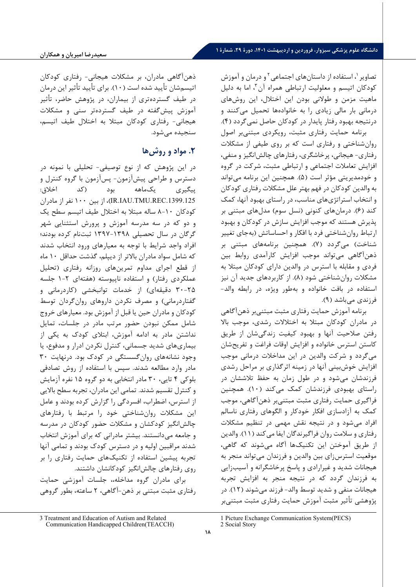تصاویر <sup>۱</sup>، استفاده از داستانهای اجتماعی <sup>۲</sup> و درمان و آموزش کودکان اتیسم و معلولیت ارتباطی همراه آن ۳، اما به دلیل ماهیت مزمن و طولانی بودن این اختلال، این روش هاي درمانی بار مالی زیادي را به خانواده ها تحمیل می کنند و درنتیجه بهبود رفتار پایدار در کودکان حاصل نمی گردد ( 4) . برنامه حمایت رفتاري مثبت ، رویکردي مبتنی بر اصول

روان شناختی و رفتاري است که بر روي طیفی از مشکلات رفتاري - هیجانی، پرخاشگري، رفتارهاي چالش انگیز و منفی، افزایش تعاملات اجتماعی و ارتباطی مثبت، شرکت در گروه و خودمدیریتی مؤثر است ( 5) . همچنین این برنامه می تواند به والدین کودکان در فهم بهتر علل مشکلات رفتاري کودکان و انتخاب استراتژي هاي مناسب، در راستاي بهبود آنها، کمک کند ( 6) . درمان هاي کنونی (نسل سوم) مدل هاي مبتنی بر پذیرش هستند که موجب افزایش سازش در کودکان و بهبود ارتباط روان شناختی فرد با افکار و احساساتش (به جاي تغییر شناخت) می گردد ( 7) . همچنین برنامه هاي مبتنی بر ذهن آگاهی می تواند موجب افزایش کارآمدي روابط بین فردي و مقابله با استرس در والدین داراي کودکان مبتلا به مشکلات روان شناختی شود ( 8) . از کاربردهاي جدید آن نیز استفاده در بافت خانواده و به طور ویژه، در رابطه والد - فرزندي می باشد ( 9) .

برنامه آموزش حمایت رفتاري مثبت مبتنی بر ذهن آگاهی در مادران کودکان مبتلا به اختلالات رشدي، موجب بالا رفتن صلاحیت آنها و بهبود کیفیت زندگی شان از طریق کاستن استرس خانواده و افزایش اوقات فراغت و تفریح شان می گردد و شرکت و الدین در این مداخلات درمانی موجب افزایش خوش بینی آنها در زمینه اثرگذاري بر مراحل رشدي فرزندشان می شود و در طول زمان به حفظ تلاششان در راستاي بهبودي فرزندشان کمک می کند ( 10) . همچنین فراگیري حمایت رفتاري مثبت مبتنی بر ذهن آگاهی، موجب کمک به آزادسازي افکار خودکار و الگوهاي رفتاري ناسالم افراد می شود و در نتیجه نقش مهمی در تنظیم مشکلات رفتاري و سلامت روان فراگیرندگان ایفا می کند ( 11) . والدین از طریق آموختن این تکنیک ها آگاه می شوند که گاهی، موقعیت استرس زای بین والدین و فرزندان می تواند منجر به هیجانات شدید و غیرارادي و پاسخ پرخاشگرانه و آسیب زایی به فرزندان گردد که در نتیجه منجر به افزایش تجربه هیجانات منفی و شدید توسط والد - فرزند می شوند ( 12) . در پژوهشی تأثیر مثبت آموزش حمایت رفتاري مثبت مبتنی بر

# **.2 مواد و روش ها**

در این پژوهش که از نوع توصیفی - تحلیلی با نمونه در دسترس و طراحی پیش آزمون - پس آزمون با گروه کنترل و پیگیري یک ماهه بود (کد اخلاق: .1399.125REC.TMU.IAU.IR(، از بین 100 نفر از مادران کودکان -10 8 ساله مبتلا به اختلال طیف اتیسم سطح یک و دو که در سه مدرسه آموزش و پرورش استثنایی شهر گرگان در سال تحصیلی ۱۳۹۸-۱۳۹۷ ثبتنام کرده بودند؛ افراد واجد شرایط با توجه به معیارهاي ورود انتخاب شدند که شامل سواد مادران بالاتر از دیپلم، گذشت حداقل 10 ماه از قطع اجراي مداوم تمرین هاي روزانه رفتاري (تحلیل عملکردی رفتار) و استفاده ناپیوسته (هفتهای ۲-۱ جلسه 30-25 دقیقه اي) از خدمات توانبخشی (کاردرمانی و گفتاردرمانی) و مصرف نکردن داروهاي روان گردان توسط کودکان و مادران حین یا قبل از آموزش بود. معیارهاي خروج شامل ممکن نبودن حضور مرتب مادر در جلسات، تمایل نداشتن مادر به ادامه آموزش، ابتلاي کودك به یکی از بیماري هاي شدید جسمانی، کنترل نکردن ادرار و مدفوع، یا وجود نشانه هاي روان گسستگی در کودك بود. درنهایت 30 مادر وارد مطالعه شدند. سپس با استفاده از روش تصادفی بلوکی ۴ تایی، ۳۰ مادر انتخابی به دو گروه ۱۵ نفره آزمایش و کنترل تقسیم شدند. تمامی این مادران، تجربه سطح بالایی از استرس، اضطراب، افسردگی را گزارش کرده بودند و عامل این مشکلات روان شناختی خود را مرتبط با رفتارهاي چالش انگیز کودکشان و مشکلات حضور کودکان در مدرسه و جامعه می دانستند. بیشتر مادرانی که برای آموزش انتخاب شدند مراقبین اولیه و در دسترس کودك بودند و تمامی آنها تجربه پیشین استفاده از تکنیک هاي حمایت رفتاري را بر روي رفتارهاي چالش انگیز کودکانشان داشتند.

برای مادران گروه مداخله،، جلسات آموزشی حمایت رفتاري مثبت مبتنی بر ذهن - آگاهی، 2 ساعته، بطور گروهی

ذهن آگاهی مادران، بر مشکلات هیجانی - رفتاري کودکان اتیسم شان تأیید شده است ( 10). براي تأیید تأثیر این درمان در طیف گسترده تري از بیماران، در پژوهش حاضر، تأثیر آموزش پیش گفته در طیف گسترده تر سنی و مشکلات هیجانی- رفتاری کودکان مبتلا به اختلال طیف اتیسم، سنجیده می شود.

<sup>1</sup> Picture Exchange Communication System(PECS) 2 Social Story

<span id="page-5-1"></span><span id="page-5-0"></span><sup>3</sup> Treatment and Education of Autism and Related Communication Handicapped Children(TEACCH)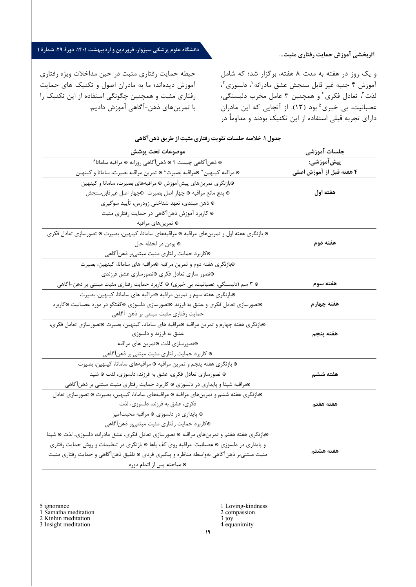و یک روز در هفته به مدت 8 هفته، برگزار شد؛ که شامل آموزش ۴ جنبه غیر قابل سنجش عشق مادرانه <sup>۱</sup>، دلسوزی <sup>۲</sup>، لذت"، تعادل فکری" و همچنین ۳ عامل مخرب دلبستگی، عصبانيت، بي خبري<sup>۵</sup> بود (١٣). از آنجايي كه اين مادران [د](#page-6-0)اراي تجربه قبلی استفاده از این تکنیک بودند و مداوماً در

حیطه حمایت رفتاري مثبت در حین مداخلات ویژه رفتاري آموزش دیده ا ند؛ ما به مادران اصول و تکنیک هاي حمایت رفتاري مثبت و همچنین چگونگی استفاده از این تکنیک را با تمرین های ذهن-آگاهی آموزش دادیم.

**جلسات آموزشی موضوعات تحت پوشش پیش آموزشی: 4 هفته قبل از آموزش اصلی**  [6](#page-6-1) ๏ ذهن آگاهی چیست ؟ ๏ ذهن آگاهی روزانه ๏ مراقبه ساماتا © مراقبه کینهین Y قمراقبه بصیرت^ © تمرین مراقبه بصیرت، ساماتا و کینهین **هفته اول**  ๏بازنگري تمرین هاي پیش آموزش ๏ مراقبههاي بصیرت، ساماتا و کینهین ๏ پنج مانع مراقبه ๏ چهار اصل بصیرت ๏چهار اصل غیرقابلسنجش ๏ ذهن مبتدي، تعهد شناختی زودرس، تأیید سوگیري ๏ کاربرد آموزش ذهنآگاهی در حمایت رفتاري مثبت ๏ تمرین هاي مراقبه **هفته دوم**  ๏ بازنگري هفته اول و تمرین هاي مراقبه ๏ مراقبه هاي ساماتا، کینهین، بصیرت ๏ تصورسازي تعادل فکري ๏ بودن در لحظه حال ๏کاربرد حمایت رفتاري مثبت مبتنیبر ذهن آگاهی **هفته سوم**  ๏بازنگري هفته دوم و تمرین مراقبه ๏مراقبه هاي ساماتا، کینهین، بصیرت ๏تصور سازي تعادل فکري ๏تصورسازي عشق فرزندي ๏ 3 سم (دلبستگی، عصبانیت، بی خبري) ๏ کاربرد حمایت رفتاري مثبت مبتنی بر ذهن -آگاهی **هفته چهارم**  ๏بازنگري هفته سوم و تمرین مراقبه ๏مراقبه هاي ساماتا، کینهین، بصیرت ๏تصورسازي تعادل فکري و عشق به فرزند ๏تصورسازي دلسوزي ๏گفتگو در مورد عصبانیت ๏کاربرد حمایت رفتاري مثبت مبتنی بر ذهن -آگاهی **هفته پنجم**  ๏بازنگري هفته چهارم و تمرین مراقبه ๏مراقبه هاي ساماتا، کینهین، بصیرت ๏تصورسازي تعامل فکري، عشق به فرزند و دلسوزي ๏تصورسازي لذت ๏تمرین هاي مراقبه ๏ کاربرد حمایت رفتاري مثبت مبتنی بر ذهن آگاهی **هفته ششم**  ๏ بازنگري هفته پنجم و تمرین مراقبه ๏ مراقبههاي ساماتا، کینهین، بصیرت ๏ تصورسازي تعادل فکري، عشق به فرزند، دلسوزي، لذت ๏ شپنا ๏مراقبه شپنا و پایداري در دلسوزي ๏ کاربرد حمایت رفتاري مثبت مبتنی بر ذهنآگاهی **هفته هفتم**  ๏بازنگري هفته ششم و تمرین هاي مراقبه ๏ مراقبههاي ساماتا، کینهین، بصیرت ๏ تصورسازي تعادل فکري، عشق به فرزند، دلسوزي، لذت ๏ پایداري در دلسوزي ๏ مراقبه محبتآمیز ๏کاربرد حمایت رفتاري مثبت مبتنیبر ذهن آگاهی **هفته هشتم**  ๏بازنگري هفته هفتم و تمرین هاي مراقبه ๏ تصورسازي تعادل فکري، عشق مادرانه، دلسوزي، لذت ๏ شپنا و پایداري در دلسوزي ๏ عصبانیت: مراقبه روي کف پاها ๏ بازنگري در تنظیمات و روش حمایت رفتاري مثبت مبتنیبر ذهنآگاهی بهواسطه مناظره و پیگیري فردي ๏ تلفیق ذهن آگاهی و حمایت رفتاري مثبت ๏ مباحثه پس از اتمام دوره

### **جدول .1 خلاصه جلسات تقو یت رفتار ي مثبت از طر یق ذهن آگاه ی**

<span id="page-6-0"></span>5 ignorance

<span id="page-6-2"></span><span id="page-6-1"></span>1 Samatha meditation

2 Kinhin meditation

<span id="page-6-3"></span>3 Insight meditation

- 1 Loving-kindness 2 compassion
- 3 joy
- 4 equanimity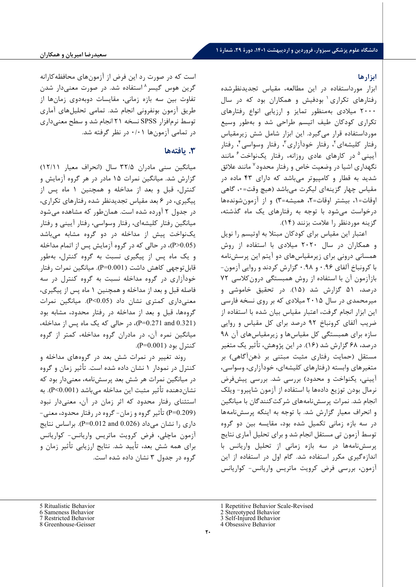### **ابزارها**

ابزار مورداستفاده در این مطالعه، مقیاس تجدیدنظرشده رفتارهای تکراری<sup>٬</sup> بودفیش و همکاران بود که در سال 2000 میلادي به منظور تمایز و ارزیابی انواع رفتارهاي تکراري کودکان طیف اتیسم طراحی شد و به طور وسیع مورداستفاده قرار می گیرد. این ابزار شامل شش زیرمقیاس رفتار كليشهای<sup>۲</sup>، رفتار خودآزاری<sup>۳</sup>، رفتار وسواسی <sup>۴</sup>، رفتار آیینی <sup>۵</sup> در کارهای عادی روزانه، رفتار یکنواخت <sup>۶</sup> مانند نگهداري اشيا در وضعيت خاص و رفتار محدود<sup>۷</sup> مانند علائق شدید به قطار و کامپیوتر می باشد که داراي 43 ماده در مقیاس چهار گزینه اي لیکرت می باشد (هیچ وقت= ،0 گاهی اوقات= ،1 بیشتر اوقات= ،2 همیشه= 3) و از آزمون شونده ها درخوا ست می شود با توجه به رفتارهاي یک ماه گذشته، گزینه موردنظر را علامت بزنند ( 14) .

اعتبار این مقیاس براي کودکان مبتلا به اوتیسم را نویل و همکاران در سال 2020 میلادي با استفاده از روش همسانی درونی براي زیرمقیاس هاي دو آیتم این پرسش نامه با کرونباخ آلفاي 0.96 و 0.98 گزارش کردند و روایی آزمون - بازآزمون آن با استفاده از روش همبستگی درو ن کلا سی 72 درصد، 51 گزارش شد ( 15) . در تحقیق خاموش ی و میرمحمدي در سال 2015 میلادي که بر روي نسخه فارسی این ابزار انجام گرفت، اعتبار مقیاس بیان شده با استفاده از ضریب آلفاي کرونباخ 92 درصد براي کل مقیاس و روایی سازه براي همبستگی کل مقیاس ها و زیرمقیاس هاي آن 98 درصد، 68 گزارش شد ( 16) . در این پژوهش، تأثیر یک متغیر مستقل (حمایت رفتاري مثبت مبتنی بر ذهن آگاهی) بر متغیرهاي وابسته (رفتارهاي کلیشه اي، خودآزاري، وسواسی، آیینی، یکنواخت و محدود) بررسی شد. بررسی پیش فرض نرمال بودن توزیع داده ها با استفاده از آزمون شاپیرو - ویلک انجام شد. نمرات پرسش نامه هاي شرکت کنندگان با میانگین و انحراف معیار گزارش شد. با توجه به اینکه پرسش نامهها در سه بازه زمانی تکمیل شده بود، مقایسه بین دو گروه توسط آزمون تی مستقل انجام شد و براي تحلیل آماري نتایج پرسش نامه ها در سه بازه زمانی از تحلیل واریانس با اندازه گیري مکرر استفاده شد. گام اول در استفاده از این آزمون، بررسی فرض کرویت ماتریس واریانس - کواریانس

است که در صورت رد این فرض از آزمون هاي محافظه کارانه گرین هوس گیسر <sup>۸</sup> استفاده شد. در صورت معن*ی* دار شدن تفاوت بین سه بازه زمانی، مقایسات دوبه دوي زمان ها از طریق آزمون بونفرونی انجام شد. تمامی تحلیل هاي آماري توسط نرم افزار SPSS نسخه ٢١ انجام شد و سطح معنی داری در تمامی آزمون ها /01 0 در نظر گرفته شد.

## **.3 یافته ها**

میانگین سنی مادران ۳۲/۵ سال (انحراف معیار ۱۲/۱۱) گزارش شد. میانگین نمرات 15 مادر در هر گروه آزمایش و کنترل، قبل و بعد از مداخله و همچنین 1 ماه پس از پیگیری، در ۶ بعد مقیاس تجدیدنظر شده رفتارهای تکراری، در جدول 2 آورده شده است. همان طور که مشاهده می شود میانگین رفتار کلیشه اي، رفتار وسواسی، رفتار آیینی و رفتار یک نواخت پیش از مداخله در دو گروه مشابه می باشد ( P>0.05)، در حالی که در گروه آزمایش پس از اتمام مداخله و یک ماه پس از پیگیری نسبت به گروه کنترل، بهطور قابل توجهی کاهش داشت ( 0.001=P(. میانگین نمرات رفتار خودآزاري در گروه مداخله نسبت به گروه کنترل در سه فاصله قبل و بعد از مداخله و همچنین 1 ماه پس از پیگیري، معنی داري کمتري نشان داد ( 0.05>P(. میانگین نمرات گروه ها، قبل و بعد از مدا خله در رفتار محدود، مشابه بود ( 0.321 and 0.271=P(، در حالی که یک ماه پس از مداخله، میانگین نمره آن، در مادران گروه مداخله، کمتر از گروه کنترل بود ( 0.001=P(.

روند تغییر در نمرات شش بعد در گروه هاي مداخله و کنترل در نمودار 1 نشان داده شده است. تأثیر زمان و گروه در میانگین نمرات هر شش بعد پرسش نامه، معنی دار بود که نشان دهنده تأثیر مثبت این مداخله می باشد ( 0.001>P(. به استثناي رفتار محدود که اثر زمان در آن، معنی دار نبود ( 0.209=P (تأثیر گروه و زمان - گروه در رفتار محدود، معنی - داری را نشان می داد (0.026 0.012 P=0.012). براساس نتایج آزمون ماچلی، فرض کرویت ماتریس واریانس - کواریانس براي همه شش بعد، تأیید شد. نتایج ارزیابی تأثیر زمان و گروه در جدول 3 نشان داده شده است.

- 3 Self-Injured Behavior
- 4 Obsessive Behavior

<span id="page-7-1"></span><span id="page-7-0"></span><sup>5</sup> Ritualistic Behavior

<sup>6</sup> Sameness Behavior

<sup>7</sup> Restricted Behavior

<span id="page-7-3"></span><span id="page-7-2"></span><sup>8</sup> Greenhouse-Geisser

<sup>1</sup> Repetitive Behavior Scale-Revised

<sup>2</sup> Stereotyped Behavior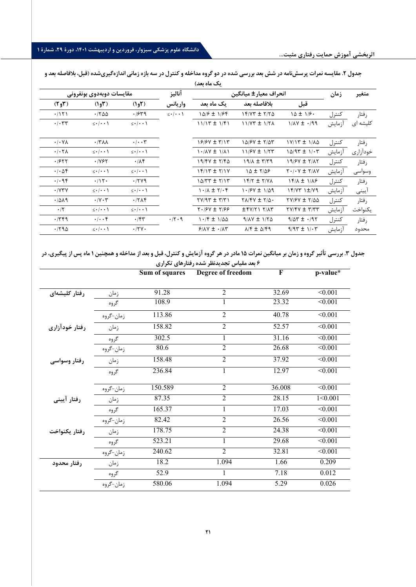|                                       |                                     |                                    |                                    | $\sim$                 |                                                                  |                                       |        |          |
|---------------------------------------|-------------------------------------|------------------------------------|------------------------------------|------------------------|------------------------------------------------------------------|---------------------------------------|--------|----------|
|                                       | مقايسات دوبهدوي بونفروني            |                                    |                                    | انحراف معيار ± ميانگين |                                                                  |                                       | زمان   | متغير    |
| $(T_{e}T)$                            | (1.5)                               | (1 <sub>9</sub> Y)                 | واريانس                            | ىك ماە بعد             | بلافاصله بعد                                                     | قبل                                   |        |          |
| .7151                                 | $\cdot$ $1500$                      | .1549                              | $\leq$ $\cdot$ $\cdot$ $\setminus$ | 1018 ± 1184            | $15/77 \pm 7/70$                                                 | $10 \pm 1$ /۶.                        | كنترل  | رفتار    |
| $\cdot/\cdot$ $\tau\tau$              | $\leq \cdot$   $\cdot \cdot$        | $\leq$ $\cdot$ $\cdot$ \           |                                    | $11/17 \pm 1/51$       | $11/YT \pm 1/T$                                                  | $1/\lambda V \pm -199$                | آزمايش | کلیشه ای |
| $\cdot/\cdot$ Y $\wedge$              | $\cdot$ /٣٨٨                        | $\cdot/\cdot\cdot\tau$             |                                    | 18/87 ± ٣/١٣           | 10/67 ± 7/07                                                     | 1Y/1۳ ± 1/AQ                          | كنترل  | رفتار    |
| $\cdot$ / $\cdot$ $\uparrow$ $\wedge$ | $\leq$ $\cdot$ $\cdot$ \            | $\leq$ $\cdot$ $\cdot$ $\setminus$ |                                    | $1.14Y \pm 111$        | $11/5V \pm 1/5T$                                                 | $10/97 \pm 1/17$                      | آزمايش | خودآزاري |
| .7577                                 | .1195                               | $\cdot$ / $\wedge$ ۴               |                                    | $19/9Y \pm 7/90$       | $19/1 \pm 7/79$                                                  | 19/67 ± 7/17                          | كنترل  | رفتار    |
| $\cdot/\cdot \Delta f$                | $\leq$ $\cdot$ $\cdot$ \            | $\leq$ $\cdot$ $\cdot$ $\setminus$ |                                    | 14/15 ± 7/17           | 10 ± 7/09                                                        | $Y \cdot / \cdot Y \pm Y / \Lambda Y$ | أزمايش | وسواسى   |
| .496                                  | .115.                               | .779                               |                                    | $10/TT \pm 7/17$       | $YY/T \pm YYY$                                                   | <b>IFILE 1/18</b>                     | كنترل  | رفتار    |
| $\cdot$ / $\gamma \tau \gamma$        | $\leq$ $\cdot$ $\cdot$ \            | $\leq$ $\cdot$ $\cdot$ $\setminus$ |                                    | $1.71 \pm 7.1$         | $1.19Y \pm 1/09$                                                 | $YY/YY Y^+YYY$                        | أزمايش | آيينى    |
| .7019                                 | $\cdot$ / $\vee$ $\cdot$ $\uparrow$ | .77                                |                                    | $(7/7 \pm 7/7)$        | $Y\Lambda/Y + Y/\Delta$ .                                        | $\frac{1}{2}$                         | كنترل  | رفتار    |
| $\cdot$ /٢                            | $\leq \cdot/\cdot \cdot$            | $\leq \cdot/\cdot \cdot$           |                                    | $Y \cdot 19Y \pm Y199$ | $\pm \frac{f}{f}$ / $\frac{f}{f}$                                | $\gamma$                              | آزمايش | يكنواخت  |
| .779                                  | $\cdot \mid \cdot \cdot \rangle$    | $\cdot$ /۴۳                        | $\cdot$ /۲ $\cdot$ 9               | $1.79 \pm 1.00$        | $9/XY \pm 1/70$                                                  | $9/27 \pm .797$                       | كنترل  | رفتار    |
| .790                                  | $\leq$ $\cdot$ $\cdot$ $\setminus$  | $\cdot$ /۲ $\vee$ .                |                                    | $9/NY \pm \cdot / NY$  | $\Delta$ $/$ $\uparrow$ $\pm$ $\Delta$ $/$ $\uparrow$ $\uparrow$ | $9/97 \pm 1/17$                       | آزمايش | محدود    |

جدول ۲. مقایسه نمرات پرسشنامه در شش بعد بررسی شده در دو گروه مداخله و کنترل در سه بازه زمانی اندازهگیریشده (قبل، بلافاصله بعد و **یک ماه بعد)** 

جدول ۳. بررسی تأثیر گروه و زمان بر میانگین نمرات ۱۵ مادر در هر گروه آزمایش و کنترل، قبل و بعد از مداخله و همچنین ۱ ماه پس از پیگیری، در

| ۶ بعد مقیاس تجدیدنظر شده رفتارهای تکراری |           |                    |                          |        |                |  |
|------------------------------------------|-----------|--------------------|--------------------------|--------|----------------|--|
|                                          |           | Sum of squares     | <b>Degree of freedom</b> | F      | p-value*       |  |
|                                          |           |                    |                          |        |                |  |
| رفتار كليشهاى                            | زمان      | 91.28              | $\overline{2}$           | 32.69  | $\sqrt{0.001}$ |  |
|                                          | گروه      | $\overline{108.9}$ | $\mathbf{1}$             | 23.32  | < 0.001        |  |
|                                          | زمان-گروه | 113.86             | $\overline{2}$           | 40.78  | < 0.001        |  |
| رفتار خودآزارى                           | زمان      | 158.82             | $\overline{2}$           | 52.57  | $\leq 0.001$   |  |
|                                          | گروه      | 302.5              | $\mathbf{1}$             | 31.16  | $\sqrt{0.001}$ |  |
|                                          | زمان-گروه | 80.6               | $\overline{2}$           | 26.68  | < 0.001        |  |
| رفتار وسواسی                             | زمان      | 158.48             | $\overline{2}$           | 37.92  | $\sqrt{0.001}$ |  |
|                                          | گروه      | 236.84             | 1                        | 12.97  | $\sqrt{0.001}$ |  |
|                                          | زمان-گروه | 150.589            | $\overline{2}$           | 36.008 | $\leq 0.001$   |  |
| رفتار آيينى                              | زمان      | 87.35              | $\overline{2}$           | 28.15  | 1 < 0.001      |  |
|                                          | گروه      | 165.37             | $\mathbf{1}$             | 17.03  | $\sqrt{0.001}$ |  |
|                                          | زمان-گروه | 82.42              | $\overline{2}$           | 26.56  | $\sqrt{0.001}$ |  |
| رفتار يكنواخت                            | زمان      | 178.75             | $\overline{2}$           | 24.38  | $\sqrt{0.001}$ |  |
|                                          | گروه      | 523.21             | $\mathbf{1}$             | 29.68  | $\sqrt{0.001}$ |  |
|                                          | زمان-گروه | 240.62             | $\overline{2}$           | 32.81  | $\sqrt{0.001}$ |  |
| رفتار محدود                              | زمان      | 18.2               | 1.094                    | 1.66   | 0.209          |  |
|                                          | گروه      | 52.9               |                          | 7.18   | 0.012          |  |
|                                          | زمان-گروه | 580.06             | 1.094                    | 5.29   | 0.026          |  |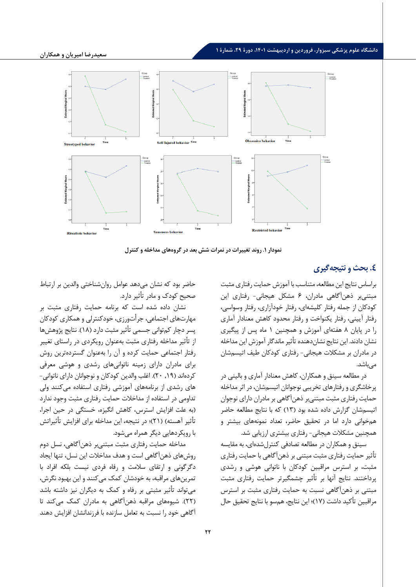

**نمودار .1 روند تغ ییرات در نمرات شش بعد در گروه ها ي مداخله و کنترل** 

# **.4 بحث و نت یجه گیري**

براساس نتایج این مطالعه، متناسب با آموزش حمایت رفتاري مثبت مبتنی بر ذهن آگاهی مادران، 6 مشکل هیجانی - رفتا ري این کودکان از جمله رفتار کلیشه اي، رفتار خودآزاري، رفتار وسواسی، رفتار آیینی، رفتار یکنواخت و رفتار محدود کاهش معنادار آماري را در پایان 8 هفته اي آموزش و همچنین 1 ماه پس از پیگیري نشان دادند. این نتایج نشان دهنده تأثیر ماندگار آموزش این مداخله در مادران بر مشکلات هیجانی - رفتاري کودکان طیف اتیسم شان می باشد .

در مطالعه سینق و همکاران، کاهش معنادار آماري و بالینی در پرخاشگري و رفتارهاي تخریبی نوجوانان اتیسم شان، در اثر مداخله حمایت رفتاري مثبت مبتنی بر ذهن آگاهی بر مادران داراي نوجوان اتیسم شان گزارش داده شده بود ( 13) که با نتایج مطالعه حاضر هم خوانی دارد اما در تحقیق حاضر، تعداد نمونه هاي بیشتر و همچنین مشکلات هیجانی - رفتاري بیشتري ارزیابی شد.

سینق و همکاران در مطالعه تصادفی کنترل شده اي، به مقایسه تأثیر حمایت رفتاری مثبت مبتنی بر ذهنآگاهی با حمایت رفتاری مثبت، بر استرس مراقبین کودکان با ناتوانی هوشی و رشدي پرداختند. نتایج آنها بر تأثیر چشمگیرتر حمایت رفتاري مثبت مبتنی بر ذهن آگاهی نسبت به حمایت رفتاري مثبت بر استرس مراقبین تأکید داشت ( 17) ؛ این نتایج، هم سو با نتایج تحقیق حال

حاضر بود که نشان می دهد عوامل روان شناختی والدین بر ارتباط صحیح کودك و مادر تأثیر دارد.

ن شان داده شده است که برنامه حمایت رفتاري مثبت بر مهارت هاي اجتماعی، جرأت ورزي، خودکنترلی و همکاري کودکان پسر دچار کم توانی جسمی تأثیر مثبت دارد ( 18) . نتایج پژوهش ها از تأثیر مداخله رفتاري مثبت به عنوان رویکردي در راستاي تغییر رفتار اجتماعی حمایت کرده و آن را به عنوان گسترده ترین روش براي مادران داراي زمینه ناتوانی هاي رشدي و هوشی معرفی کردهاند (۱۹, ۲۰). اغلب والدین کودکان و نوجوانان دارای ناتوانی-های رشدی از برنامههای آموزشی رفتاری استفاده می کنند ولی تداومی در استفاده از مداخلات حمایت رفتاري مثبت وجود ندارد (به علت افزایش استرس، کاهش انگیزه، خستگی در حین اجرا، تأثیر آهسته) ( 21) ؛ در نتیجه، این مداخله براي افزایش تأثیراتش با رویکرد هایی دیگر همراه می شود.

مداخله حمایت رفتاري مثبت مبتنی بر ذهن آگاهی، نسل دوم روش هاي ذهن آگاهی است و هدف مداخلات این نسل، تنها ایجاد دگرگونی و ارتقاي سلامت و رفاه فردي نیست بلکه افراد با تمرین هاي مراقبه، به خودشان کمک می کنند و این بهبود نگرش، می تواند تأ ثیر مثبتی بر رفاه و کمک به دیگران نیز داشته باشد ( 22) . شیوه هاي مراقبه ذهن آگاهی به مادران کمک می کند تا آگاهی خود را نسبت به تعامل سازنده با فرزندانشان افزایش دهند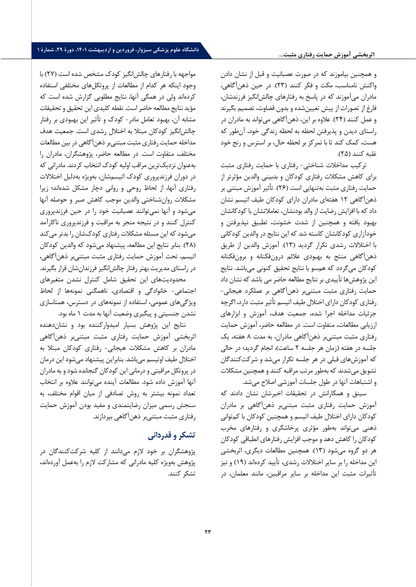#### **اثربخشی آموزش حمایت رفتاري مثبت...**

# **دانشگاه علوم پزشکی سبزوار، فروردین و اردیبهشت ،1401 دورة ،29 شمارة 1**

و همچنین بیاموزند که در صورت عصبانیت و قبل از نشان دادن واکنش نامناسب، مکث و فکر کنند ( 23) . در حین ذهن آگاهی، مادران می آموزند که در پاسخ به رفتارهاي چالش انگیز فرزندشان، فارغ از تصورات از پیش تعیین شده و بدون قضاوت، تصمیم بگیرند و عمل کنند ( 24) . علاوه بر این، ذهن آگاهی می تواند به مادران در راستاي دیدن و پذیرفتن لحظه به لحظه زندگی خود، آن طور که هست، کمک کند تا با تمرکز بر لحظه حال، بر استرس و رنج خود غلبه کنند ( 25) .

ترکیب مداخلات شناختی - رفتاري با حمایت رفتاري مثبت براي کاهش مشکلات رفتاري کودکان و بدبینی والدین مؤثرتر از حمایت رفتاري مثبت به تنهایی است ( 26) . تأثی ر آموزش مبتنی بر ذهن آگاهی 12 هفته اي مادران داراي کودکان طیف اتیسم نشان داد که با افزایش رضایت از والد بودنشان، تعاملاتشان با کودکانشان بهبود یافته و همچنین از شدت خشونت، تطبیق نپذیرفتن و خودآزاري کودکانشان کاسته شد که این نتایج در والدین کودکانی با اختلا لات رشدي تکرار گردید ( 13) . آموزش والدین از طریق ذهن آگاهی منتج به بهبودي علائم درون فکنانه و برون فکنانه کودکان می گردد که هم سو با نتایج تحقیق کنونی می باشد. نتایج این پژوهش ها تأییدي بر نتایج مطالعه حاضر می باشد که نشان داد حمایت رفتاري مثبت مبتنی بر ذهن آگاهی بر عملکرد هیجانی - رفتاري کودکان داراي اختلال طیف اتیسم تأثیر مثبت دارد، اگرچه جزئیات مداخله اجرا شده، جمعیت هدف، آموزش و ابزارهاي ارزیابی مطالعات، متفاوت است. در مطالعه حاضر، آموزش حمایت رفتاري مثبت مبتنی بر ذهن آگاهی مادران، به مدت 8 ه فته، یک جلسه در هفته (زمان هر جلسه 2 ساعت)، انجام گردید؛ در حالی که آموزش هاي قبلی در هر جلسه تکرار می شد و شرکت کنندگان تشویق می شدند که به طور مرتب مراقبه کنند و همچنین مشکلات و اشتباهات آنها در طول جلسات آموزشی اصلاح می شد.

سینق و همکارانش در تحقیقات اخیرشان نشان دادند که آموزش حمایت رفتاري مثبت مبتنی بر ذهن آگاهی بر مادران کودکان داراي اختلال طیف اتیسم و همچنین کودکان با کم توانی ذهنی می تواند به طور مؤثري پرخاشگري و رفتارهاي مخرب کودکان را کاهش دهد و موجب افزایش رفتارهای انطباقی کودکان هر دو گروه می شود ( 13) . همچنین مطالعات دیگري، اثربخشی این مداخله را بر سایر اختلالات رشدی، تأیید کردهاند (۱۹) و نیز تأثیرات مثبت این مداخله بر سایر مراقبین، مانند معلمان، در

مواجهه با رفتارهاي چالش انگیز کودك مشخص شده است ( 27) با وجود اینکه هر کدام از مطالعات از پروتکل هاي مختلفی استفاده کردهاند ولی در همگی آنها، نتایج مطلوبی گزارش شده است که مؤید نتایج مطالعه حاضر است. نقطه کلیدي این تحقیق و تحقیقات مشابه آن، بهبود تعامل مادر - کودك و تأثیر این بهبودي بر رفتار چالش انگیز کودکان مبتلا به اختلال رشدي است. جمعیت هدف مداخله حمایت رفتاري مثبت مبتنی بر ذهن آگاهی در بین مطالعات مختلف، متفاوت است. در مطالعه حاضر، پژوهشگران، مادران را به عنوان نزدیک ترین مراقب اولیه کودك انتخاب کردند. مادرانی که در دوران فرزندپروري کودك اتیسم شان، به ویژه به دلیل اختلالات رفتاري آنها، از لحاظ روحی و روانی دچار مشکل شده اند؛ زیرا مشکلات روان شناختی والدین موجب کاهش صبر و حوصله آنها می شود و آنها نمی توانند عصبانیت خود را در حین فرزند پروري کنترل کنند و در نتیجه منجر به مراقبت و فرزندپروري ناکارآمد می شود که این مسئله مشکلات رفتاري کودك شان را بدتر می کند ( 28) . بنابر نتایج این مطالعه، پیشنهاد می شود که والدین کودکان اتیسم، تحت آموزش حمایت رفتاري مثبت مبتنی بر ذهن آگاهی، در راستاي مدیریت بهتر رفتار چالش انگیز فرزندان شان قرار بگیرند. محدودیت هاي این تحقیق شامل کنترل نشدن متغیرهاي اجتماعی - خانوادگی و اقتصادي، ناهمگنی نمونه ها از لحاظ

ویژگی های عمومی، استفاده از نمونههای در دسترس، همتاسازی نشدن جنسیتی و پیگیري وضعیت آنها به مدت 1 ماه بود.

نتایج این پژوهش بسیار امیدوارکننده بود و نشان دهنده اثربخشی آموزش حمایت رفتاري مثبت مبتنی بر ذهن آگاهی مادران بر کاهش مشکلات هیجانی - رفتاري کودکان مبتلا به اختلال طیف اوتیسم می باشد. بنابراین پیشنهاد میشود این درمان در پروتکل مراقبتی و درمانی این کودکان گنجانده شود و به مادران آنها آموزش داده شود. مطالعات آینده می توانند علاوه بر انتخاب تعداد نمونه بیشتر به روش تصادفی از میان اقوام مختلف، به سنجش رسمی میزان رضایتمندی و مفید بودن آموزش حمایت رفتاري مثبت مبتنی بر ذهن آگاهی بپردازند.

# **تشکر و قدردانی**

پژوهشگران بر خود لازم می دانند از کلیه شرکت کنندگان در پژوهش به ویژه کلیه مادرانی که مشارکت لازم را به عمل آورده اند، تشکر کنند .